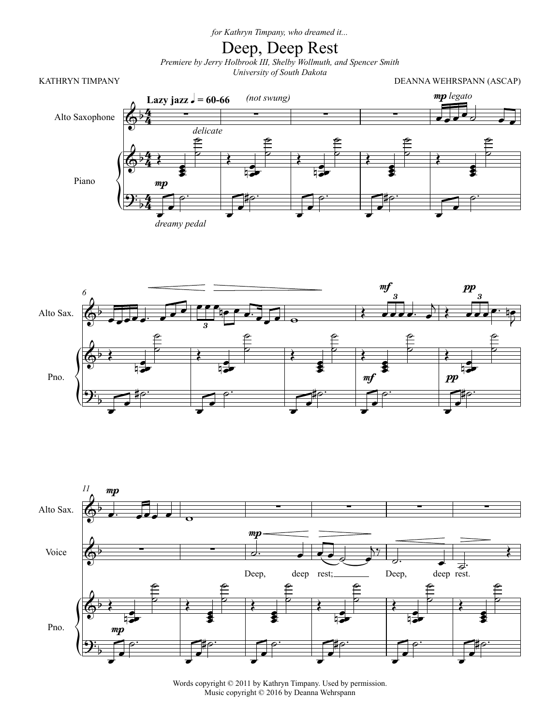*for Kathryn Timpany, who dreamed it...*

## Deep, Deep Rest

*Premiere by Jerry Holbrook III, Shelby Wollmuth, and Spencer Smith University of South Dakota*

KATHRYN TIMPANY **EXECUTES EXECUTES DEANNA WEHRSPANN** (ASCAP)







Words copyright © 2011 by Kathryn Timpany. Used by permission. Music copyright © 2016 by Deanna Wehrspann